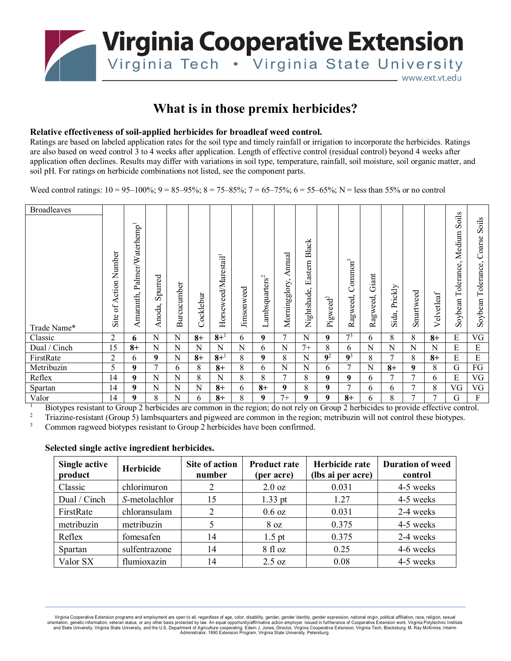

## **What is in those premix herbicides?**

## **Relative effectiveness of soil-applied herbicides for broadleaf weed control.**

Ratings are based on labeled application rates for the soil type and timely rainfall or irrigation to incorporate the herbicides. Ratings are also based on weed control 3 to 4 weeks after application. Length of effective control (residual control) beyond 4 weeks after application often declines. Results may differ with variations in soil type, temperature, rainfall, soil moisture, soil organic matter, and soil pH. For ratings on herbicide combinations not listed, see the component parts.

Weed control ratings:  $10 = 95-100\%$ ;  $9 = 85-95\%$ ;  $8 = 75-85\%$ ;  $7 = 65-75\%$ ;  $6 = 55-65\%$ ; N = less than 55% or no control

| <b>Broadleaves</b> |                                      |                                            |                   |             |           |                                  |                   |                            |                         |                                 |                      |                                 |                   |                  |           |             |                                          |                                          |
|--------------------|--------------------------------------|--------------------------------------------|-------------------|-------------|-----------|----------------------------------|-------------------|----------------------------|-------------------------|---------------------------------|----------------------|---------------------------------|-------------------|------------------|-----------|-------------|------------------------------------------|------------------------------------------|
| Trade Name*        | Number<br>Action<br>$\sigma$<br>Site | Palmer/Waterhemp <sup>1</sup><br>Amaranth, | Spurred<br>Anoda, | Burcucumber | Cocklebur | Horseweed/Marestail <sup>1</sup> | <b>Jimsonweed</b> | Lambsquarters <sup>2</sup> | Annual<br>Morningglory, | Black<br>Eastern<br>Nightshade, | Pigweed <sup>2</sup> | Common <sup>3</sup><br>Ragweed, | Giant<br>Ragweed, | Prickly<br>Sida, | Smartweed | Velvetleaf  | Soils<br>Medium<br>Tolerance,<br>Soybean | Soils<br>Coarse<br>Tolerance,<br>Soybean |
| Classic            | 2                                    | 6                                          | N                 | N           | $8+$      | $8 + 1$                          | 6                 | 9                          | 7                       | N                               | 9                    | 7 <sup>3</sup>                  | 6                 | 8                | 8         | $8+$        | E                                        | VG                                       |
| Dual / Cinch       | 15                                   | $8+$                                       | N                 | N           | N         | N                                | N                 | 6                          | N                       | $7+$                            | 8                    | 6                               | N                 | N                | N         | $\mathbf N$ | E                                        | E                                        |
| FirstRate          | $\overline{2}$                       | 6                                          | 9                 | $\mathbf N$ | $8+$      | $8 + 1$                          | 8                 | 9                          | 8                       | N                               | $\overline{9^2}$     | $\overline{9^3}$                | 8                 | 7                | 8         | $8+$        | E                                        | E                                        |
| Metribuzin         | 5                                    | 9                                          | $\tau$            | 6           | 8         | $8+$                             | 8                 | 6                          | N                       | N                               | 6                    | 7                               | N                 | $8+$             | 9         | 8           | G                                        | FG                                       |
| Reflex             | 14                                   | 9                                          | N                 | N           | 8         | N                                | 8                 | 8                          | 7                       | 8                               | 9                    | 9                               | 6                 | 7                | 7         | 6           | E                                        | VG                                       |
| Spartan            | 14                                   | 9                                          | N                 | N           | N         | $8+$                             | 6                 | $8+$                       | 9                       | 8                               | 9                    | 7                               | 6                 | 6                | 7         | 8           | VG                                       | VG                                       |
| Valor              | 14                                   | 9                                          | 8                 | $\mathbf N$ | 6         | $8+$                             | 8                 | 9                          | $7+$                    | 9                               | 9                    | $8+$                            | 6                 | 8                | 7         | 7           | G                                        | F                                        |

<sup>1</sup> Biotypes resistant to Group 2 herbicides are common in the region; do not rely on Group 2 herbicides to provide effective control.<br><sup>2</sup> Triveline register (Group 5) herbeventure on deiguned are common in the project me

<sup>2</sup> Triazine-resistant (Group 5) lambsquarters and pigweed are common in the region; metribuzin will not control these biotypes.<br><sup>3</sup> Common raqueed biotypes resistant to Group 2 berbicides have been confirmed.

Common ragweed biotypes resistant to Group 2 herbicides have been confirmed.

## **Selected single active ingredient herbicides.**

| Single active<br>product | <b>Herbicide</b> | Site of action<br>number | <b>Product rate</b><br>(per acre) | Herbicide rate<br>(lbs ai per acre) | <b>Duration of weed</b><br>control |  |
|--------------------------|------------------|--------------------------|-----------------------------------|-------------------------------------|------------------------------------|--|
| Classic                  | chlorimuron      | 2                        | $2.0 \text{ oz}$                  | 0.031                               | 4-5 weeks                          |  |
| Dual / Cinch             | S-metolachlor    | 15                       | $1.33$ pt                         | 1.27                                | 4-5 weeks                          |  |
| FirstRate                | chloransulam     | 2                        | $0.6 \text{ oz}$                  | 0.031                               | 2-4 weeks                          |  |
| metribuzin               | metribuzin       |                          | $8 \text{ oz}$                    | 0.375                               | 4-5 weeks                          |  |
| Reflex                   | fomesafen        | 14                       | $1.5$ pt                          | 0.375                               | 2-4 weeks                          |  |
| Spartan                  | sulfentrazone    | 14                       | 8f1oz                             | 0.25                                | 4-6 weeks                          |  |
| Valor SX                 | flumioxazin      | 14                       | $2.5 \text{ oz}$                  | 0.08                                | 4-5 weeks                          |  |

Virginia Cooperative Extension programs and employment are open to all, regardless of age, color, disability, gender, gender identity, gender expression, national origin, political affiliation, race, religion, sexual orientation, genetic information, veteran status, or any other basis protected by law. An equal opportunity/affirmative action employer. Issued in furtherance of Cooperative Extension work, Virginia Polytechnic Institute I Administrator, 1890 Extension Program, Virginia State University, Petersburg.